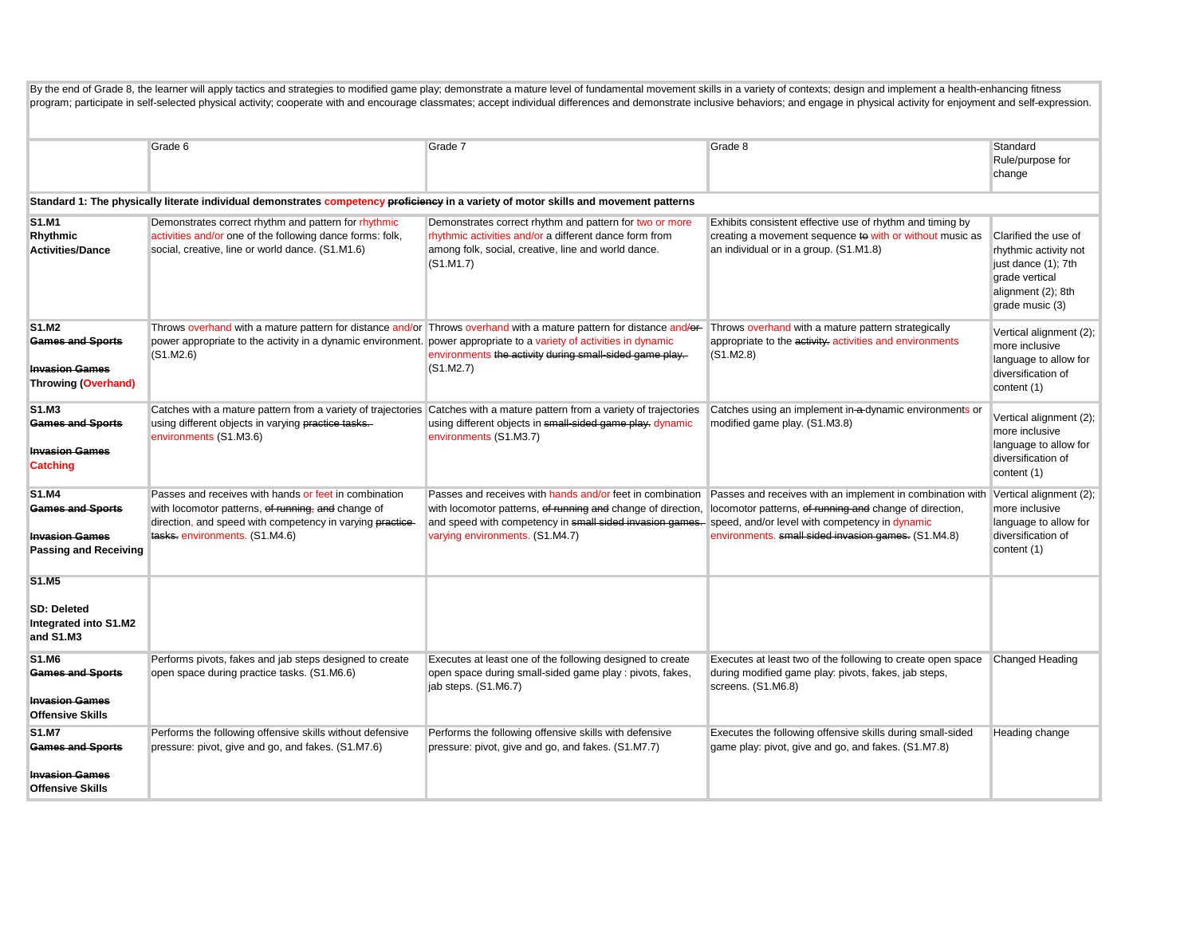| By the end of Grade 8, the learner will apply tactics and strategies to modified game play; demonstrate a mature level of fundamental movement skills in a variety of contexts; design and implement a health-enhancing fitnes<br>program; participate in self-selected physical activity; cooperate with and encourage classmates; accept individual differences and demonstrate inclusive behaviors; and engage in physical activity for enjoyment and self-ex |                                                                                                                                                                                                           |                                                                                                                                                                                                                                                                         |                                                                                                                                                                                                     |                                                                                                                                 |
|------------------------------------------------------------------------------------------------------------------------------------------------------------------------------------------------------------------------------------------------------------------------------------------------------------------------------------------------------------------------------------------------------------------------------------------------------------------|-----------------------------------------------------------------------------------------------------------------------------------------------------------------------------------------------------------|-------------------------------------------------------------------------------------------------------------------------------------------------------------------------------------------------------------------------------------------------------------------------|-----------------------------------------------------------------------------------------------------------------------------------------------------------------------------------------------------|---------------------------------------------------------------------------------------------------------------------------------|
|                                                                                                                                                                                                                                                                                                                                                                                                                                                                  | Grade 6                                                                                                                                                                                                   | Grade 7                                                                                                                                                                                                                                                                 | Grade 8                                                                                                                                                                                             | Standard<br>Rule/purpose for<br>change                                                                                          |
|                                                                                                                                                                                                                                                                                                                                                                                                                                                                  | Standard 1: The physically literate individual demonstrates competency proficiency in a variety of motor skills and movement patterns                                                                     |                                                                                                                                                                                                                                                                         |                                                                                                                                                                                                     |                                                                                                                                 |
| <b>S1.M1</b><br>Rhythmic<br><b>Activities/Dance</b>                                                                                                                                                                                                                                                                                                                                                                                                              | Demonstrates correct rhythm and pattern for rhythmic<br>activities and/or one of the following dance forms: folk,<br>social, creative, line or world dance. (S1.M1.6)                                     | Demonstrates correct rhythm and pattern for two or more<br>rhythmic activities and/or a different dance form from<br>among folk, social, creative, line and world dance.<br>(S1.M1.7)                                                                                   | Exhibits consistent effective use of rhythm and timing by<br>creating a movement sequence to with or without music as<br>an individual or in a group. (S1.M1.8)                                     | Clarified the use of<br>rhythmic activity not<br>just dance (1); 7th<br>grade vertical<br>alignment (2); 8th<br>grade music (3) |
| <b>S1.M2</b><br><b>Games and Sports</b><br><b>Invasion Games</b><br><b>Throwing (Overhand)</b>                                                                                                                                                                                                                                                                                                                                                                   | power appropriate to the activity in a dynamic environment. power appropriate to a variety of activities in dynamic<br>(S1.M2.6)                                                                          | Throws overhand with a mature pattern for distance and/or Throws overhand with a mature pattern for distance and/or-<br>environments the activity during small-sided game play.<br>(S1.M2.7)                                                                            | Throws overhand with a mature pattern strategically<br>appropriate to the activity. activities and environments<br>(S1.M2.8)                                                                        | Vertical alignment (2);<br>more inclusive<br>language to allow for<br>diversification of<br>content (1)                         |
| S1.M3<br><b>Games and Sports</b><br><b>Invasion Games</b><br><b>Catching</b>                                                                                                                                                                                                                                                                                                                                                                                     | using different objects in varying practice tasks.<br>environments (S1.M3.6)                                                                                                                              | Catches with a mature pattern from a variety of trajectories Catches with a mature pattern from a variety of trajectories<br>using different objects in small-sided game play. dynamic<br>environments (S1.M3.7)                                                        | Catches using an implement in a-dynamic environments or<br>modified game play. (S1.M3.8)                                                                                                            | Vertical alignment (2);<br>more inclusive<br>language to allow for<br>diversification of<br>content (1)                         |
| S1.M4<br><b>Games and Sports</b><br><b>Invasion Games</b><br><b>Passing and Receiving</b>                                                                                                                                                                                                                                                                                                                                                                        | Passes and receives with hands or feet in combination<br>with locomotor patterns, of running, and change of<br>direction, and speed with competency in varying practice-<br>tasks-environments. (S1.M4.6) | Passes and receives with hands and/or feet in combination<br>with locomotor patterns, of running and change of direction,<br>and speed with competency in small sided invasion games. speed, and/or level with competency in dynamic<br>varying environments. (S1.M4.7) | Passes and receives with an implement in combination with Vertical alignment (2);<br>locomotor patterns, of running and change of direction,<br>environments. small sided invasion games. (S1.M4.8) | more inclusive<br>language to allow for<br>diversification of<br>content (1)                                                    |
| S1.M5<br><b>SD: Deleted</b><br>Integrated into S1.M2<br>and S1.M3                                                                                                                                                                                                                                                                                                                                                                                                |                                                                                                                                                                                                           |                                                                                                                                                                                                                                                                         |                                                                                                                                                                                                     |                                                                                                                                 |
| S1.M6<br><b>Games and Sports</b><br><b>Invasion Games</b><br><b>Offensive Skills</b>                                                                                                                                                                                                                                                                                                                                                                             | Performs pivots, fakes and jab steps designed to create<br>open space during practice tasks. (S1.M6.6)                                                                                                    | Executes at least one of the following designed to create<br>open space during small-sided game play : pivots, fakes,<br>jab steps. (S1.M6.7)                                                                                                                           | Executes at least two of the following to create open space<br>during modified game play: pivots, fakes, jab steps,<br>screens. (S1.M6.8)                                                           | Changed Heading                                                                                                                 |
| <b>S1.M7</b><br><b>Games and Sports</b><br><b>Invasion Games</b><br><b>Offensive Skills</b>                                                                                                                                                                                                                                                                                                                                                                      | Performs the following offensive skills without defensive<br>pressure: pivot, give and go, and fakes. (S1.M7.6)                                                                                           | Performs the following offensive skills with defensive<br>pressure: pivot, give and go, and fakes. (S1.M7.7)                                                                                                                                                            | Executes the following offensive skills during small-sided<br>game play: pivot, give and go, and fakes. (S1.M7.8)                                                                                   | Heading change                                                                                                                  |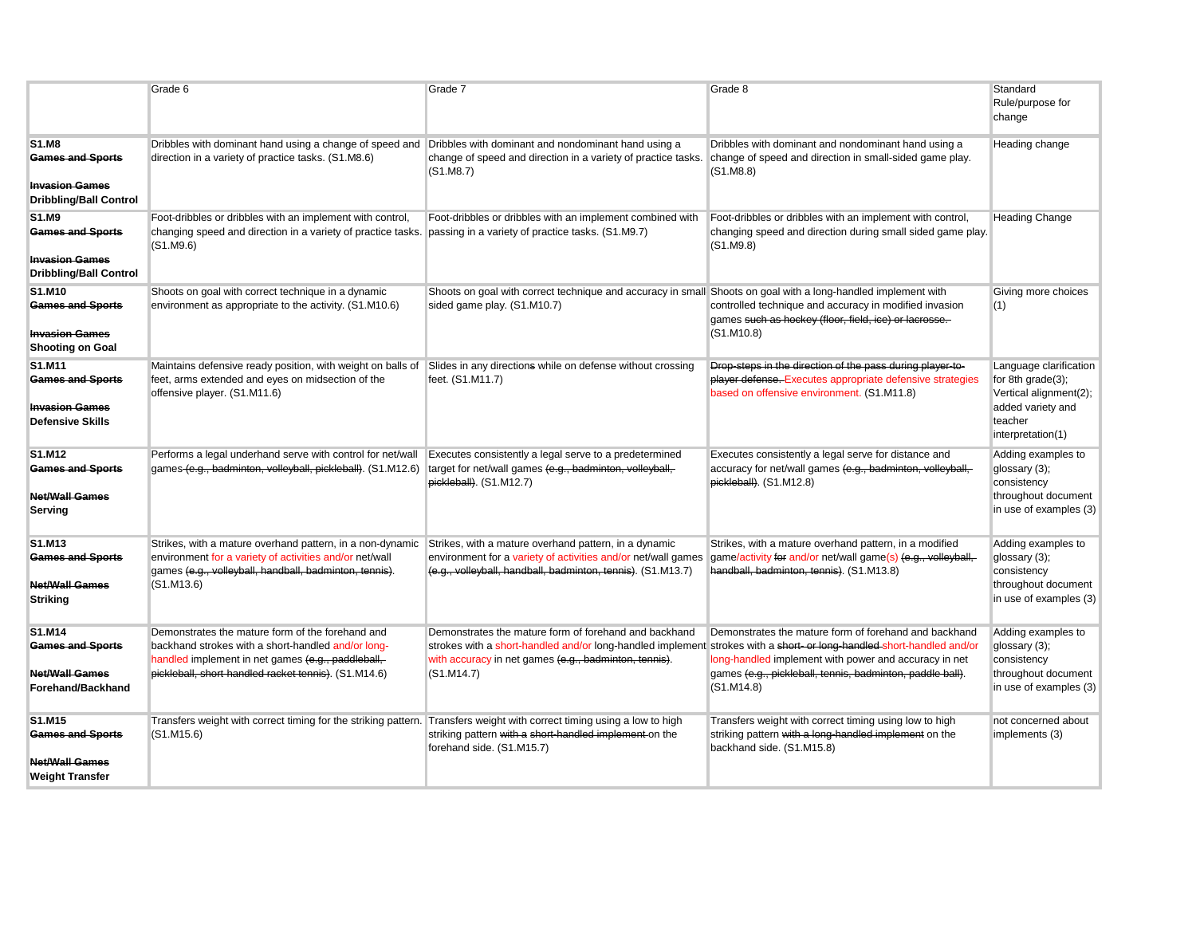|                                                                                                   | Grade 6                                                                                                                                                                                                                                            | Grade 7                                                                                                                                                                                                                                              | Grade 8                                                                                                                                                                                    | Standard<br>Rule/purpose for<br>change                                                                                        |
|---------------------------------------------------------------------------------------------------|----------------------------------------------------------------------------------------------------------------------------------------------------------------------------------------------------------------------------------------------------|------------------------------------------------------------------------------------------------------------------------------------------------------------------------------------------------------------------------------------------------------|--------------------------------------------------------------------------------------------------------------------------------------------------------------------------------------------|-------------------------------------------------------------------------------------------------------------------------------|
| <b>S1.M8</b><br><b>Games and Sports</b><br><b>Invasion Games</b><br><b>Dribbling/Ball Control</b> | Dribbles with dominant hand using a change of speed and Dribbles with dominant and nondominant hand using a<br>direction in a variety of practice tasks. (S1.M8.6)                                                                                 | change of speed and direction in a variety of practice tasks.<br>(S1.M8.7)                                                                                                                                                                           | Dribbles with dominant and nondominant hand using a<br>change of speed and direction in small-sided game play.<br>(S1.M8.8)                                                                | Heading change                                                                                                                |
| S1.M9<br><b>Games and Sports</b><br><b>Invasion Games</b><br><b>Dribbling/Ball Control</b>        | Foot-dribbles or dribbles with an implement with control,<br>changing speed and direction in a variety of practice tasks. passing in a variety of practice tasks. (S1.M9.7)<br>(S1.M9.6)                                                           | Foot-dribbles or dribbles with an implement combined with                                                                                                                                                                                            | Foot-dribbles or dribbles with an implement with control,<br>changing speed and direction during small sided game play.<br>(S1.M9.8)                                                       | <b>Heading Change</b>                                                                                                         |
| S1.M10<br><b>Games and Sports</b><br><b>Invasion Games</b><br><b>Shooting on Goal</b>             | Shoots on goal with correct technique in a dynamic<br>environment as appropriate to the activity. (S1.M10.6)                                                                                                                                       | Shoots on goal with correct technique and accuracy in small Shoots on goal with a long-handled implement with<br>sided game play. (S1.M10.7)                                                                                                         | controlled technique and accuracy in modified invasion<br>games such as hockey (floor, field, ice) or lacrosse.<br>(S1.M10.8)                                                              | Giving more choices<br>(1)                                                                                                    |
| S1.M11<br><b>Games and Sports</b><br><b>Invasion Games</b><br><b>Defensive Skills</b>             | Maintains defensive ready position, with weight on balls of Slides in any directions while on defense without crossing<br>feet, arms extended and eyes on midsection of the<br>offensive player. (S1.M11.6)                                        | feet. (S1.M11.7)                                                                                                                                                                                                                                     | Drop-steps in the direction of the pass during player-to-<br>player defense. Executes appropriate defensive strategies<br>based on offensive environment. (S1.M11.8)                       | Language clarification<br>for 8th $grade(3)$ ;<br>Vertical alignment(2);<br>added variety and<br>teacher<br>interpretation(1) |
| S1.M12<br><b>Games and Sports</b><br><b>Net/Wall Games</b><br>Serving                             | Performs a legal underhand serve with control for net/wall Executes consistently a legal serve to a predetermined<br>games (e.g., badminton, volleyball, pickleball). (S1.M12.6) target for net/wall games (e.g., badminton, volleyball,           | pickleball). (S1.M12.7)                                                                                                                                                                                                                              | Executes consistently a legal serve for distance and<br>accuracy for net/wall games (e.g., badminton, volleyball,<br>pickleball). (S1.M12.8)                                               | Adding examples to<br>glossary (3);<br>consistency<br>throughout document<br>in use of examples (3)                           |
| S1.M13<br><b>Games and Sports</b><br><b>Net/Wall Games</b><br><b>Striking</b>                     | Strikes, with a mature overhand pattern, in a non-dynamic Strikes, with a mature overhand pattern, in a dynamic<br>environment for a variety of activities and/or net/wall<br>games (e.g., volleyball, handball, badminton, tennis).<br>(S1.M13.6) | environment for a variety of activities and/or net/wall games<br>(e.g., volleyball, handball, badminton, tennis). (S1.M13.7)                                                                                                                         | Strikes, with a mature overhand pattern, in a modified<br>game/activity for and/or net/wall game(s) (e.g., volleyball,<br>handball, badminton, tennis). (S1.M13.8)                         | Adding examples to<br>glossary (3);<br>consistency<br>throughout document<br>in use of examples (3)                           |
| S1.M14<br><b>Games and Sports</b><br><b>Net/Wall Games</b><br>Forehand/Backhand                   | Demonstrates the mature form of the forehand and<br>backhand strokes with a short-handled and/or long-<br>handled implement in net games (e.g., paddleball,<br>pickleball, short-handled racket tennis). (S1.M14.6)                                | Demonstrates the mature form of forehand and backhand<br>strokes with a short-handled and/or long-handled implement strokes with a short-or long-handled-short-handled and/or<br>with accuracy in net games (e.g., badminton, tennis).<br>(S1.M14.7) | Demonstrates the mature form of forehand and backhand<br>long-handled implement with power and accuracy in net<br>games (e.g., pickleball, tennis, badminton, paddle ball).<br>(S1. M14.8) | Adding examples to<br>glossary (3);<br>consistency<br>throughout document<br>in use of examples (3)                           |
| S1.M15<br><b>Games and Sports</b><br><b>Net/Wall Games</b><br><b>Weight Transfer</b>              | Transfers weight with correct timing for the striking pattern. Transfers weight with correct timing using a low to high<br>(S1.M15.6)                                                                                                              | striking pattern with a short-handled implement on the<br>forehand side. (S1.M15.7)                                                                                                                                                                  | Transfers weight with correct timing using low to high<br>striking pattern with a long-handled implement on the<br>backhand side. (S1.M15.8)                                               | not concerned about<br>implements (3)                                                                                         |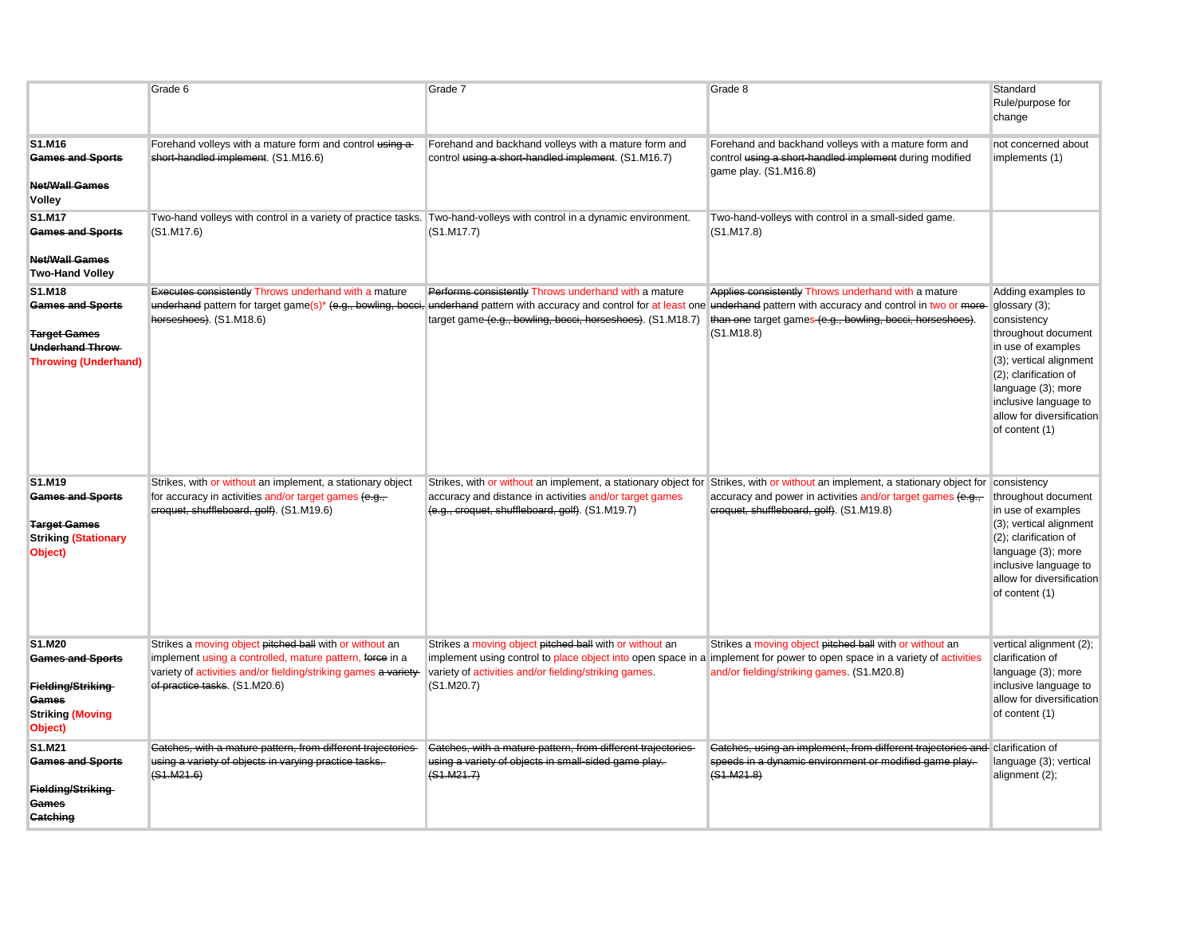|                                                                                                                   | Grade 6                                                                                                                                                                                                                 | Grade 7                                                                                                                                                                                                                                                     | Grade 8                                                                                                                                                                                                                                                                                                                              | Standard<br>Rule/purpose for<br>change                                                                                                                                                                                           |
|-------------------------------------------------------------------------------------------------------------------|-------------------------------------------------------------------------------------------------------------------------------------------------------------------------------------------------------------------------|-------------------------------------------------------------------------------------------------------------------------------------------------------------------------------------------------------------------------------------------------------------|--------------------------------------------------------------------------------------------------------------------------------------------------------------------------------------------------------------------------------------------------------------------------------------------------------------------------------------|----------------------------------------------------------------------------------------------------------------------------------------------------------------------------------------------------------------------------------|
| S1.M16<br><b>Games and Sports</b><br><b>Net/Wall Games</b><br>Volley                                              | Forehand volleys with a mature form and control using a<br>short-handled implement. (S1.M16.6)                                                                                                                          | Forehand and backhand volleys with a mature form and<br>control using a short-handled implement. (S1.M16.7)                                                                                                                                                 | Forehand and backhand volleys with a mature form and<br>control using a short-handled implement during modified<br>game play. (S1.M16.8)                                                                                                                                                                                             | not concerned about<br>implements (1)                                                                                                                                                                                            |
| S1.M17<br><b>Games and Sports</b><br><b>Net/Wall Games</b><br><b>Two-Hand Volley</b>                              | Two-hand volleys with control in a variety of practice tasks. Two-hand-volleys with control in a dynamic environment.<br>(S1.M17.6)                                                                                     | (S1.M17.7)                                                                                                                                                                                                                                                  | Two-hand-volleys with control in a small-sided game.<br>(S1.M17.8)                                                                                                                                                                                                                                                                   |                                                                                                                                                                                                                                  |
| S1.M18<br><b>Games and Sports</b><br><b>Target Games</b><br><b>Underhand Throw</b><br><b>Throwing (Underhand)</b> | <b>Executes consistently Throws underhand with a mature</b><br>horseshoes). (S1.M18.6)                                                                                                                                  | Performs consistently Throws underhand with a mature<br>target game (e.g., bowling, bocci, horseshoes). (S1.M18.7)                                                                                                                                          | Applies consistently Throws underhand with a mature<br>underhand pattern for target game(s)* (e.g., bowling, bocci, underhand pattern with accuracy and control for at least one underhand pattern with accuracy and control in two or more glossary (3);<br>than one target games (e.g., bowling, bocci, horseshoes).<br>(S1.M18.8) | Adding examples to<br>consistency<br>throughout document<br>in use of examples<br>(3); vertical alignment<br>(2); clarification of<br>language (3); more<br>inclusive language to<br>allow for diversification<br>of content (1) |
| S1.M19<br><b>Games and Sports</b><br><b>Target Games</b><br><b>Striking (Stationary</b><br>Object)                | Strikes, with or without an implement, a stationary object<br>for accuracy in activities and/or target games (e.g.,<br>croquet, shuffleboard, golf). (S1.M19.6)                                                         | accuracy and distance in activities and/or target games<br>(e.g., croquet, shuffleboard, golf). (S1.M19.7)                                                                                                                                                  | Strikes, with or without an implement, a stationary object for Strikes, with or without an implement, a stationary object for consistency<br>accuracy and power in activities and/or target games (e.g.,<br>croquet, shuffleboard, golf). (S1.M19.8)                                                                                 | throughout document<br>in use of examples<br>(3); vertical alignment<br>(2); clarification of<br>language (3); more<br>inclusive language to<br>allow for diversification<br>of content (1)                                      |
| S1.M20<br><b>Games and Sports</b><br>Fielding/Striking<br>Games<br><b>Striking (Moving</b><br>Object)             | Strikes a moving object pitched ball with or without an<br>implement using a controlled, mature pattern, force in a<br>variety of activities and/or fielding/striking games a variety-<br>of practice tasks. (S1.M20.6) | Strikes a moving object pitched ball with or without an<br>implement using control to place object into open space in a implement for power to open space in a variety of activities<br>variety of activities and/or fielding/striking games.<br>(S1.M20.7) | Strikes a moving object pitched ball with or without an<br>and/or fielding/striking games. (S1.M20.8)                                                                                                                                                                                                                                | vertical alignment (2);<br>clarification of<br>language (3); more<br>inclusive language to<br>allow for diversification<br>of content (1)                                                                                        |
| S1.M21<br><b>Games and Sports</b><br>Fielding/Striking<br>Games<br><b>Catching</b>                                | Catches, with a mature pattern, from different trajectories<br>using a variety of objects in varying practice tasks.<br><del>(S1.M21.6)</del>                                                                           | Catches, with a mature pattern, from different trajectories<br>using a variety of objects in small-sided game play.<br>(S1.M21.7)                                                                                                                           | Catches, using an implement, from different trajectories and clarification of<br>speeds in a dynamic environment or modified game play.<br>(S1.M21.8)                                                                                                                                                                                | language (3); vertical<br>alignment (2);                                                                                                                                                                                         |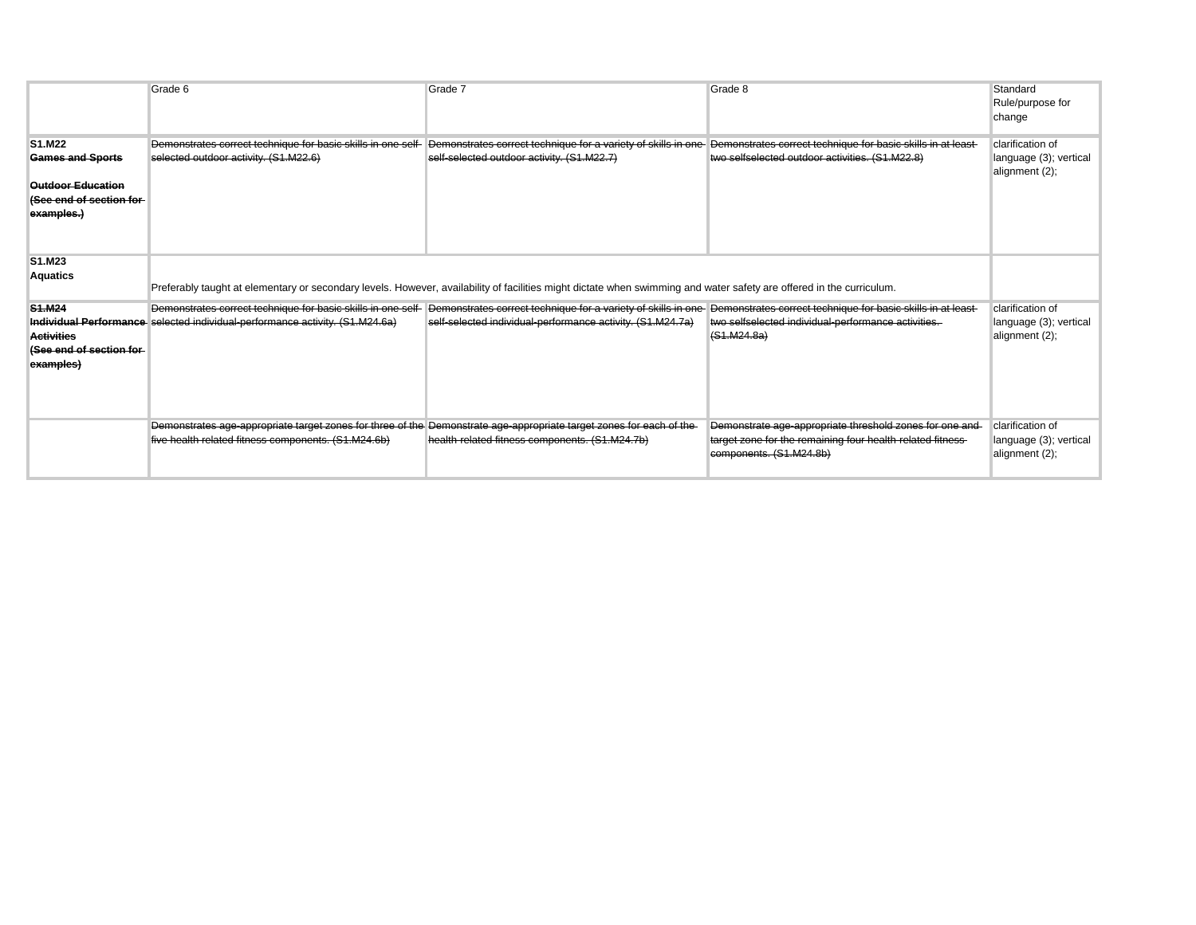|                                                                                                        | Grade 6                                                                                                                                                                     | Grade 7                                                                                                                      | Grade 8                                                                                                                                           | Standard<br>Rule/purpose for<br>change                       |
|--------------------------------------------------------------------------------------------------------|-----------------------------------------------------------------------------------------------------------------------------------------------------------------------------|------------------------------------------------------------------------------------------------------------------------------|---------------------------------------------------------------------------------------------------------------------------------------------------|--------------------------------------------------------------|
| S1.M22<br><b>Games and Sports</b><br><b>Outdoor Education</b><br>(See end of section for<br>examples.) | Demonstrates correct technique for basic skills in one self-<br>selected outdoor activity. (S1.M22.6)                                                                       | Demonstrates correct technique for a variety of skills in one-<br>self-selected outdoor activity. (S1.M22.7)                 | Demonstrates correct technique for basic skills in at least-<br>two selfselected outdoor activities. (S1.M22.8)                                   | clarification of<br>language (3); vertical<br>alignment (2); |
| S1.M23<br><b>Aquatics</b>                                                                              | Preferably taught at elementary or secondary levels. However, availability of facilities might dictate when swimming and water safety are offered in the curriculum.        |                                                                                                                              |                                                                                                                                                   |                                                              |
| S <sub>1</sub> .M <sub>24</sub><br><b>Activities</b><br>(See end of section for-<br>examples)          | Demonstrates correct technique for basic skills in one self-<br>Individual Performance selected individual performance activity. (S1.M24.6a)                                | Demonstrates correct technique for a variety of skills in one-<br>self-selected individual-performance activity. (S1.M24.7a) | Demonstrates correct technique for basic skills in at least-<br>two selfselected individual-performance activities.<br>(S1.M24.8a)                | clarification of<br>language (3); vertical<br>alignment (2); |
|                                                                                                        | Demonstrates age-appropriate target zones for three of the Demonstrate age-appropriate target zones for each of the-<br>five health related fitness components. (S1.M24.6b) | health-related fitness components. (S1.M24.7b)                                                                               | Demonstrate age-appropriate threshold zones for one and-<br>target zone for the remaining four health-related fitness-<br>components. (S1.M24.8b) | clarification of<br>language (3); vertical<br>alignment (2); |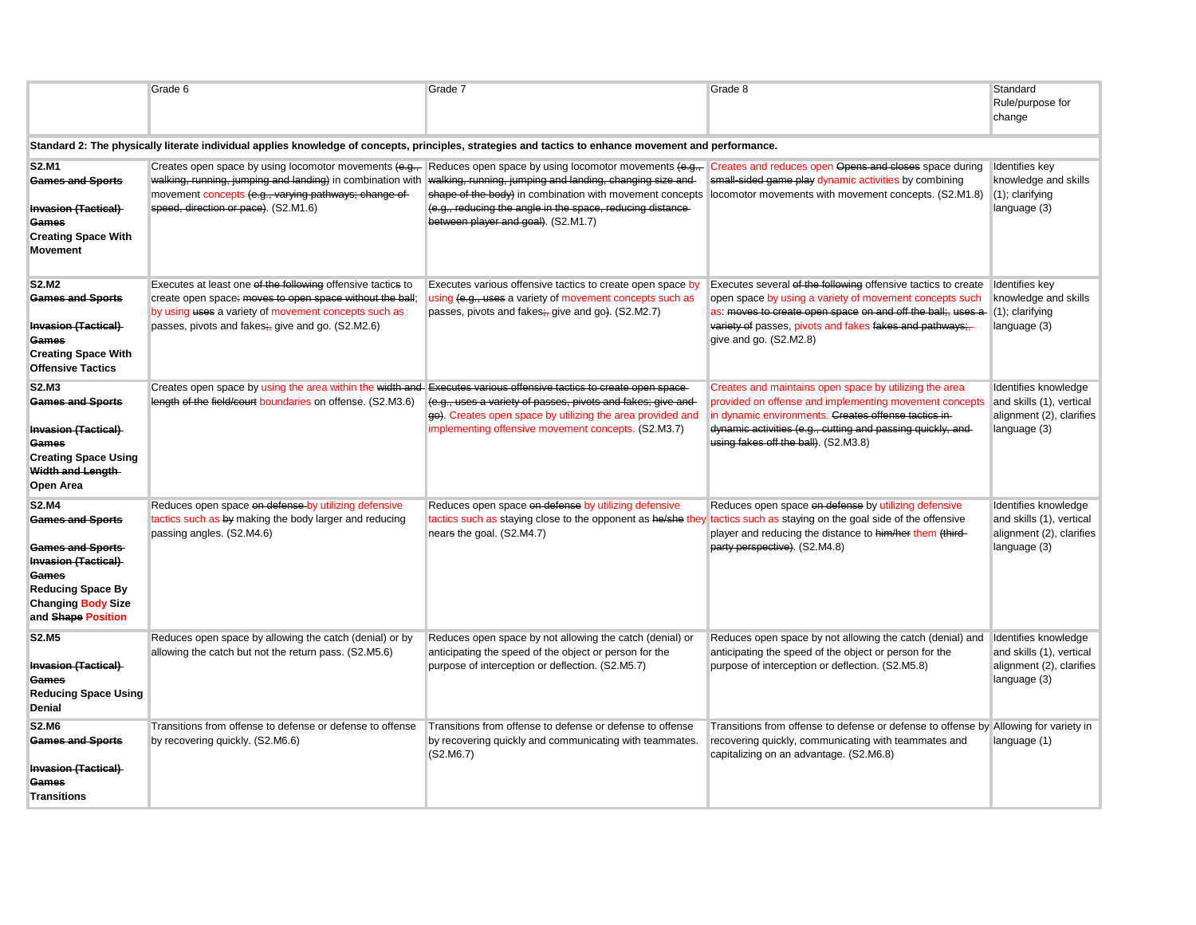|                                                                                                                                                                                          | Grade 6                                                                                                                                                                                                                              | Grade 7                                                                                                                                                                                                                                                                                                                              | Grade 8                                                                                                                                                                                                                                                                                                 | Standard<br>Rule/purpose for<br>change                                                       |
|------------------------------------------------------------------------------------------------------------------------------------------------------------------------------------------|--------------------------------------------------------------------------------------------------------------------------------------------------------------------------------------------------------------------------------------|--------------------------------------------------------------------------------------------------------------------------------------------------------------------------------------------------------------------------------------------------------------------------------------------------------------------------------------|---------------------------------------------------------------------------------------------------------------------------------------------------------------------------------------------------------------------------------------------------------------------------------------------------------|----------------------------------------------------------------------------------------------|
|                                                                                                                                                                                          |                                                                                                                                                                                                                                      | Standard 2: The physically literate individual applies knowledge of concepts, principles, strategies and tactics to enhance movement and performance.                                                                                                                                                                                |                                                                                                                                                                                                                                                                                                         |                                                                                              |
| S2.M1<br><b>Games and Sports</b><br>Invasion (Tactical)<br>Games<br><b>Creating Space With</b><br><b>Movement</b>                                                                        | walking, running, jumping and landing) in combination with walking, running, jumping and landing, changing size and<br>movement concepts (e.g., varying pathways; change of-<br>speed, direction or pace). (S2.M1.6)                 | Creates open space by using locomotor movements (e.g., Reduces open space by using locomotor movements (e.g., Creates and reduces open Opens and eloses space during<br>shape of the body) in combination with movement concepts<br>(e.g., reducing the angle in the space, reducing distance<br>between player and goal). (S2.M1.7) | small-sided game play dynamic activities by combining<br>locomotor movements with movement concepts. (S2.M1.8)                                                                                                                                                                                          | Identifies key<br>knowledge and skills<br>$(1)$ ; clarifying<br>language (3)                 |
| <b>S2.M2</b><br><b>Games and Sports</b><br><b>Invasion (Tactical)</b><br>Games<br><b>Creating Space With</b><br><b>Offensive Tactics</b>                                                 | Executes at least one of the following offensive tactics to<br>create open space: moves to open space without the ball;<br>by using uses a variety of movement concepts such as<br>passes, pivots and fakes;, give and go. (S2.M2.6) | Executes various offensive tactics to create open space by<br>using (e.g., uses a variety of movement concepts such as<br>passes, pivots and fakes; give and go). (S2.M2.7)                                                                                                                                                          | Executes several of the following offensive tactics to create   Identifies key<br>open space by using a variety of movement concepts such<br>as: moves to create open space on and off the ball;, uses a<br>variety of passes, pivots and fakes fakes and pathways;<br>give and go. (S2.M2.8)           | knowledge and skills<br>$(1)$ ; clarifying<br>language (3)                                   |
| S2.M3<br><b>Games and Sports</b><br>Invasion (Tactical)<br>Games<br><b>Creating Space Using</b><br>Width and Length-<br>Open Area                                                        | Creates open space by using the area within the width and Executes various offensive tactics to create open space<br>length of the field/court boundaries on offense. (S2.M3.6)                                                      | (e.g., uses a variety of passes, pivots and fakes; give and<br>go). Creates open space by utilizing the area provided and<br>implementing offensive movement concepts. (S2.M3.7)                                                                                                                                                     | Creates and maintains open space by utilizing the area<br>provided on offense and implementing movement concepts and skills (1), vertical<br>in dynamic environments. Creates offense tactics in-<br>dynamic activities (e.g., cutting and passing quickly, and<br>using fakes off the ball). (S2.M3.8) | Identifies knowledge<br>alignment (2), clarifies<br>language (3)                             |
| <b>S2.M4</b><br><b>Games and Sports</b><br><b>Games and Sports</b><br><b>Invasion (Tactical)</b><br>Games<br><b>Reducing Space By</b><br><b>Changing Body Size</b><br>and Shape Position | Reduces open space on defense by utilizing defensive<br>tactics such as by making the body larger and reducing<br>passing angles. (S2.M4.6)                                                                                          | Reduces open space on defense by utilizing defensive<br>tactics such as staying close to the opponent as he/she they<br>nears the goal. (S2.M4.7)                                                                                                                                                                                    | Reduces open space on defense by utilizing defensive<br>tactics such as staying on the goal side of the offensive<br>player and reducing the distance to him/her them (third-<br>party perspective). (S2.M4.8)                                                                                          | Identifies knowledge<br>and skills (1), vertical<br>alignment (2), clarifies<br>language (3) |
| <b>S2.M5</b><br><b>Invasion (Tactical)</b><br>Games<br><b>Reducing Space Using</b><br>Denial                                                                                             | Reduces open space by allowing the catch (denial) or by<br>allowing the catch but not the return pass. (S2.M5.6)                                                                                                                     | Reduces open space by not allowing the catch (denial) or<br>anticipating the speed of the object or person for the<br>purpose of interception or deflection. (S2.M5.7)                                                                                                                                                               | Reduces open space by not allowing the catch (denial) and Identifies knowledge<br>anticipating the speed of the object or person for the<br>purpose of interception or deflection. (S2.M5.8)                                                                                                            | and skills (1), vertical<br>alignment (2), clarifies<br>language (3)                         |
| <b>S2.M6</b><br><b>Games and Sports</b><br><b>Invasion (Tactical)</b><br>Games<br>Transitions                                                                                            | Transitions from offense to defense or defense to offense<br>by recovering quickly. (S2.M6.6)                                                                                                                                        | Transitions from offense to defense or defense to offense<br>by recovering quickly and communicating with teammates.<br>(S2.M6.7)                                                                                                                                                                                                    | Transitions from offense to defense or defense to offense by Allowing for variety in<br>recovering quickly, communicating with teammates and<br>capitalizing on an advantage. (S2.M6.8)                                                                                                                 | language (1)                                                                                 |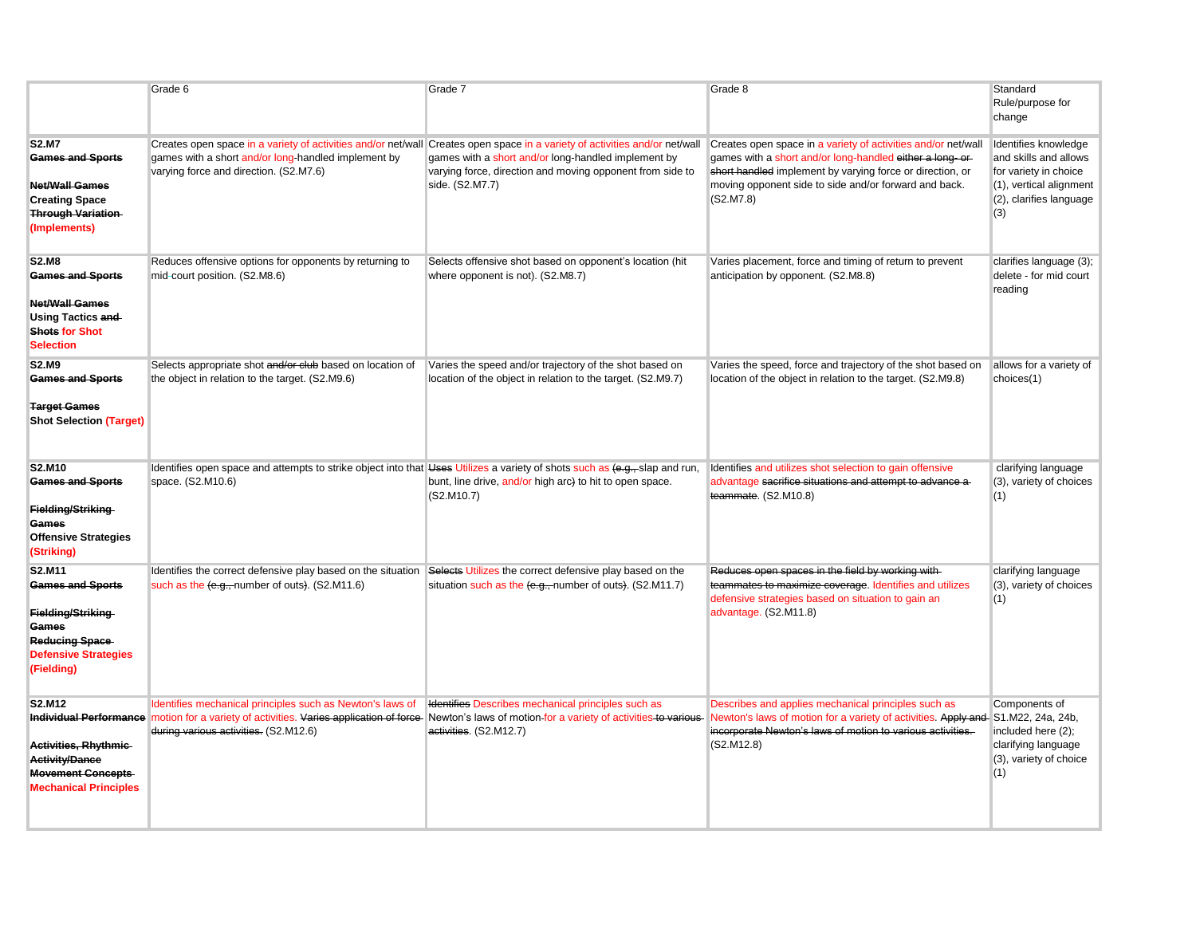|                                                                                                                                       | Grade 6                                                                                                                                                                 | Grade 7                                                                                                                                                                                                                                                            | Grade 8                                                                                                                                                                                                                                                      | Standard<br>Rule/purpose for<br>change                                                                                              |
|---------------------------------------------------------------------------------------------------------------------------------------|-------------------------------------------------------------------------------------------------------------------------------------------------------------------------|--------------------------------------------------------------------------------------------------------------------------------------------------------------------------------------------------------------------------------------------------------------------|--------------------------------------------------------------------------------------------------------------------------------------------------------------------------------------------------------------------------------------------------------------|-------------------------------------------------------------------------------------------------------------------------------------|
| <b>S2.M7</b><br><b>Games and Sports</b><br><b>Net/Wall Games</b><br><b>Creating Space</b><br><b>Through Variation</b><br>(Implements) | games with a short and/or long-handled implement by<br>varying force and direction. (S2.M7.6)                                                                           | Creates open space in a variety of activities and/or net/wall Creates open space in a variety of activities and/or net/wall<br>games with a short and/or long-handled implement by<br>varying force, direction and moving opponent from side to<br>side. (S2.M7.7) | Creates open space in a variety of activities and/or net/wall<br>games with a short and/or long-handled either a long-or-<br>short handled implement by varying force or direction, or<br>moving opponent side to side and/or forward and back.<br>(S2.M7.8) | Identifies knowledge<br>and skills and allows<br>for variety in choice<br>(1), vertical alignment<br>(2), clarifies language<br>(3) |
| <b>S2.M8</b><br><b>Games and Sports</b><br><b>Net/Wall Games</b><br>Using Tactics and<br><b>Shots for Shot</b><br><b>Selection</b>    | Reduces offensive options for opponents by returning to<br>mid-court position. (S2.M8.6)                                                                                | Selects offensive shot based on opponent's location (hit<br>where opponent is not). (S2.M8.7)                                                                                                                                                                      | Varies placement, force and timing of return to prevent<br>anticipation by opponent. (S2.M8.8)                                                                                                                                                               | clarifies language (3);<br>delete - for mid court<br>reading                                                                        |
| <b>S2.M9</b><br><b>Games and Sports</b><br><b>Target Games</b><br><b>Shot Selection (Target)</b>                                      | Selects appropriate shot and/or club based on location of<br>the object in relation to the target. (S2.M9.6)                                                            | Varies the speed and/or trajectory of the shot based on<br>location of the object in relation to the target. (S2.M9.7)                                                                                                                                             | Varies the speed, force and trajectory of the shot based on<br>location of the object in relation to the target. (S2.M9.8)                                                                                                                                   | allows for a variety of<br>choices(1)                                                                                               |
| S2.M10<br><b>Games and Sports</b><br>Fielding/Striking<br>Games<br><b>Offensive Strategies</b><br>(Striking)                          | ldentifies open space and attempts to strike object into that Uses Utilizes a variety of shots such as (e.g., slap and run,<br>space. (S2.M10.6)                        | bunt, line drive, and/or high arc) to hit to open space.<br>(S2.M10.7)                                                                                                                                                                                             | Identifies and utilizes shot selection to gain offensive<br>advantage sacrifice situations and attempt to advance a<br>teammate. (S2.M10.8)                                                                                                                  | clarifying language<br>(3), variety of choices<br>(1)                                                                               |
| S2.M11<br><b>Games and Sports</b><br>Fielding/Striking<br>Games<br><b>Reducing Space</b><br><b>Defensive Strategies</b><br>(Fielding) | Identifies the correct defensive play based on the situation Selects Utilizes the correct defensive play based on the<br>such as the (e.g., number of outs). (S2.M11.6) | situation such as the (e.g., number of outs). (S2.M11.7)                                                                                                                                                                                                           | Reduces open spaces in the field by working with-<br>teammates to maximize coverage. Identifies and utilizes<br>defensive strategies based on situation to gain an<br>advantage. (S2.M11.8)                                                                  | clarifying language<br>(3), variety of choices<br>(1)                                                                               |
| S2.M12<br>Activities, Rhythmic-<br><b>Activity/Dance</b><br><b>Movement Concepts</b><br><b>Mechanical Principles</b>                  | Identifies mechanical principles such as Newton's laws of<br>during various activities. (S2.M12.6)                                                                      | Identifies Describes mechanical principles such as<br>Individual Performance motion for a variety of activities. Varies application of force-Newton's laws of motion-for a variety of activities to various-<br>activities. (S2.M12.7)                             | Describes and applies mechanical principles such as<br>Newton's laws of motion for a variety of activities. Apply and S1.M22, 24a, 24b,<br>incorporate Newton's laws of motion to various activities.<br>(S2.M12.8)                                          | Components of<br>included here (2);<br>clarifying language<br>(3), variety of choice<br>(1)                                         |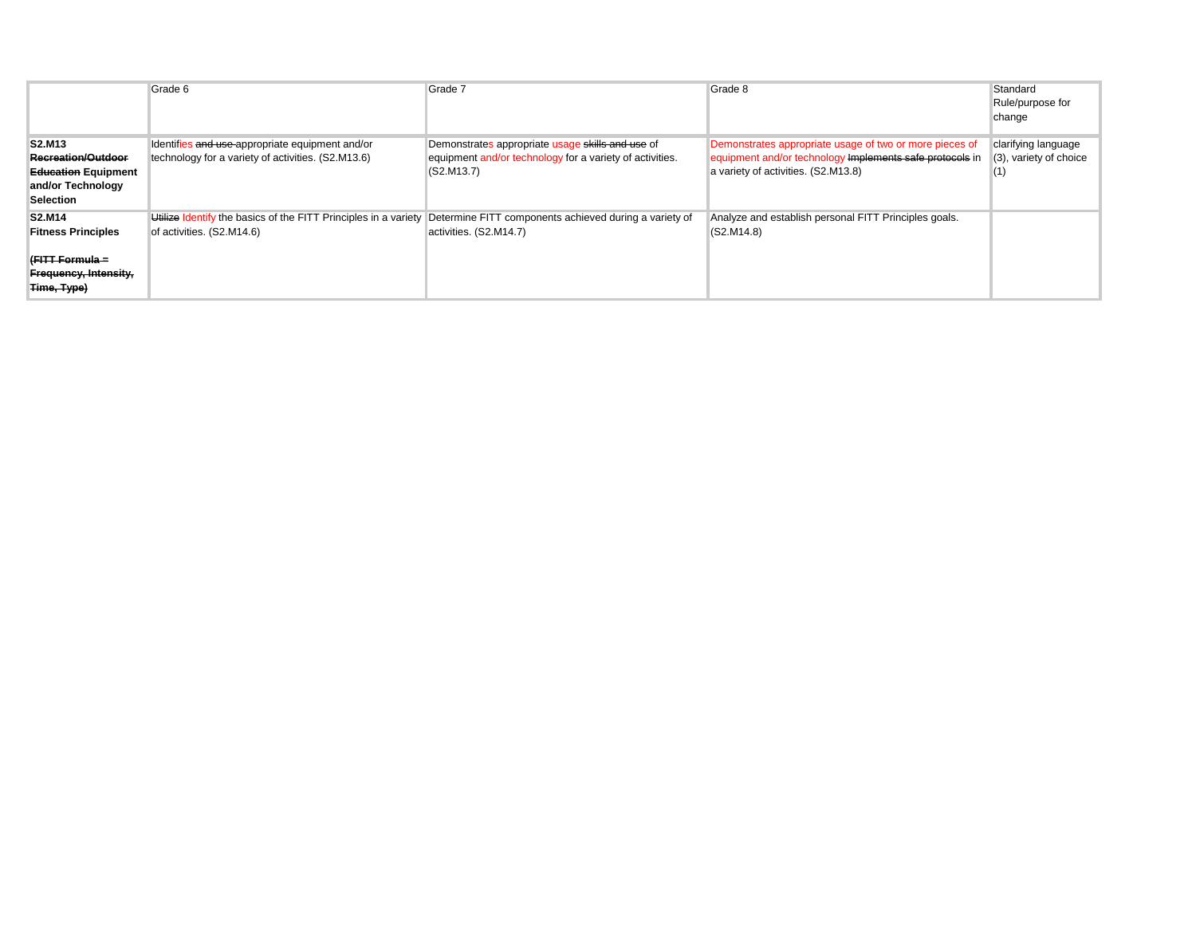|                                                                                                                                     | Grade 6                                                                                                                                             | Grade 7                                                                                                                    | Grade 8                                                                                                                                                    | Standard<br>Rule/purpose for<br>change               |
|-------------------------------------------------------------------------------------------------------------------------------------|-----------------------------------------------------------------------------------------------------------------------------------------------------|----------------------------------------------------------------------------------------------------------------------------|------------------------------------------------------------------------------------------------------------------------------------------------------------|------------------------------------------------------|
| S <sub>2</sub> .M <sub>13</sub><br><b>Recreation/Outdoor</b><br><b>Education Equipment</b><br>and/or Technology<br><b>Selection</b> | Identifies and use appropriate equipment and/or<br>technology for a variety of activities. (S2.M13.6)                                               | Demonstrates appropriate usage skills and use of<br>equipment and/or technology for a variety of activities.<br>(S2.M13.7) | Demonstrates appropriate usage of two or more pieces of<br>equipment and/or technology Implements safe protocols in<br>a variety of activities. (S2.M13.8) | clarifying language<br>(3), variety of choice<br>(1) |
| <b>S2.M14</b><br><b>Fitness Principles</b><br>(FITT-Formula =<br>Frequency, Intensity,<br>Time, Type)                               | Utilize Identify the basics of the FITT Principles in a variety Determine FITT components achieved during a variety of<br>of activities. (S2.M14.6) | activities. (S2.M14.7)                                                                                                     | Analyze and establish personal FITT Principles goals.<br>(S2.M14.8)                                                                                        |                                                      |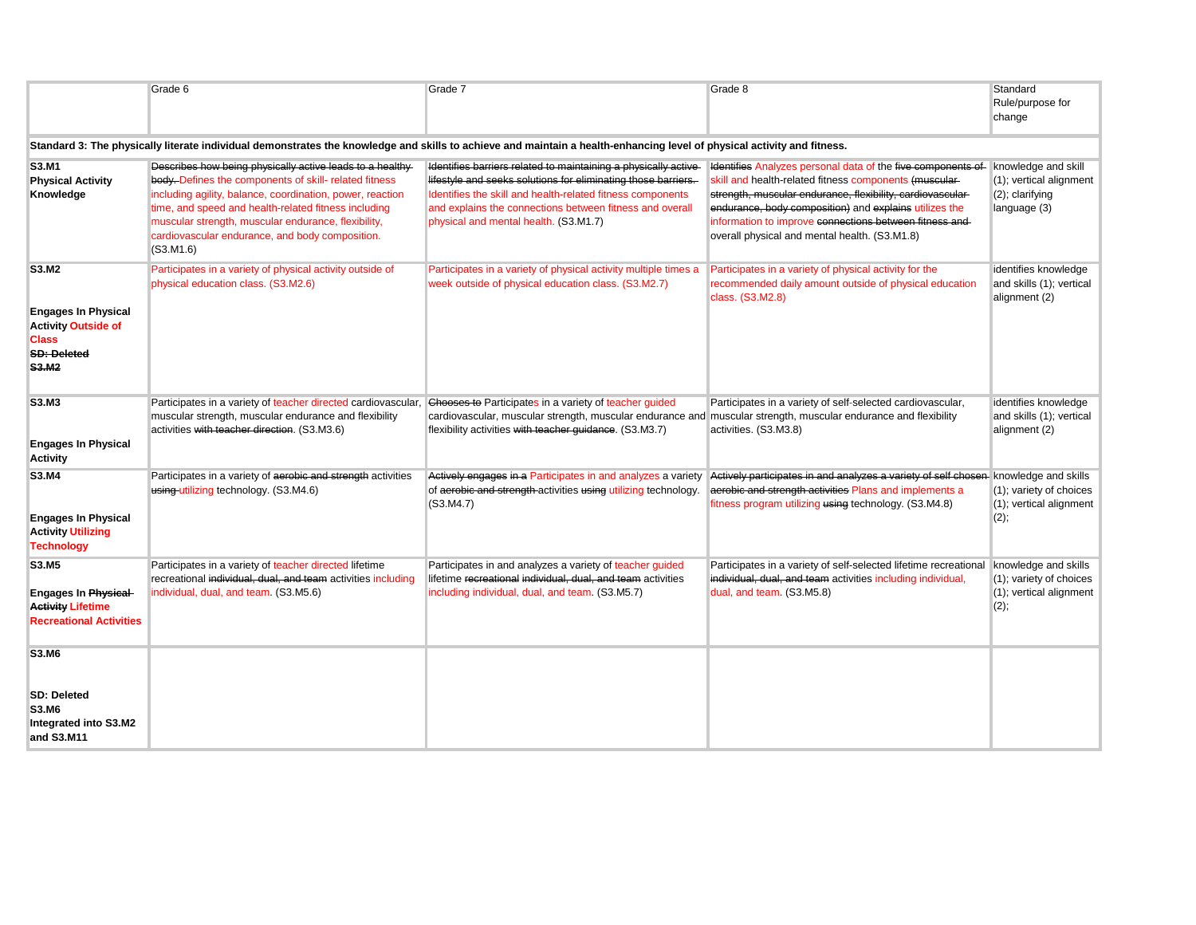|                                                                                                                | Grade 6                                                                                                                                                                                                                                                                                                                                                         | Grade 7                                                                                                                                                                                                                                                                                            | Grade 8                                                                                                                                                                                                                                                                                                                                                   | Standard<br>Rule/purpose for<br>change                                               |
|----------------------------------------------------------------------------------------------------------------|-----------------------------------------------------------------------------------------------------------------------------------------------------------------------------------------------------------------------------------------------------------------------------------------------------------------------------------------------------------------|----------------------------------------------------------------------------------------------------------------------------------------------------------------------------------------------------------------------------------------------------------------------------------------------------|-----------------------------------------------------------------------------------------------------------------------------------------------------------------------------------------------------------------------------------------------------------------------------------------------------------------------------------------------------------|--------------------------------------------------------------------------------------|
|                                                                                                                |                                                                                                                                                                                                                                                                                                                                                                 | Standard 3: The physically literate individual demonstrates the knowledge and skills to achieve and maintain a health-enhancing level of physical activity and fitness.                                                                                                                            |                                                                                                                                                                                                                                                                                                                                                           |                                                                                      |
| S3.M1<br><b>Physical Activity</b><br>Knowledge                                                                 | Describes how being physically active leads to a healthy-<br>body. Defines the components of skill- related fitness<br>including agility, balance, coordination, power, reaction<br>time, and speed and health-related fitness including<br>muscular strength, muscular endurance, flexibility,<br>cardiovascular endurance, and body composition.<br>(S3.M1.6) | Identifies barriers related to maintaining a physically active<br>lifestyle and seeks solutions for eliminating those barriers.<br>Identifies the skill and health-related fitness components<br>and explains the connections between fitness and overall<br>physical and mental health. (S3.M1.7) | Identifies Analyzes personal data of the five components of<br>skill and health-related fitness components (muscular-<br>strength, muscular endurance, flexibility, cardiovascular-<br>endurance, body composition) and explains utilizes the<br>information to improve connections between fitness and-<br>overall physical and mental health. (S3.M1.8) | knowledge and skill<br>(1); vertical alignment<br>$(2)$ ; clarifying<br>language (3) |
| S3.M2                                                                                                          | Participates in a variety of physical activity outside of<br>physical education class. (S3.M2.6)                                                                                                                                                                                                                                                                | Participates in a variety of physical activity multiple times a<br>week outside of physical education class. (S3.M2.7)                                                                                                                                                                             | Participates in a variety of physical activity for the<br>recommended daily amount outside of physical education<br>class. (S3.M2.8)                                                                                                                                                                                                                      | identifies knowledge<br>and skills (1); vertical<br>alignment (2)                    |
| <b>Engages In Physical</b><br><b>Activity Outside of</b><br><b>Class</b><br><b>SD: Deleted</b><br><b>S3.M2</b> |                                                                                                                                                                                                                                                                                                                                                                 |                                                                                                                                                                                                                                                                                                    |                                                                                                                                                                                                                                                                                                                                                           |                                                                                      |
| S3.M3<br><b>Engages In Physical</b><br><b>Activity</b>                                                         | Participates in a variety of teacher directed cardiovascular,<br>muscular strength, muscular endurance and flexibility<br>activities with teacher direction. (S3.M3.6)                                                                                                                                                                                          | Chooses to Participates in a variety of teacher guided<br>cardiovascular, muscular strength, muscular endurance and muscular strength, muscular endurance and flexibility<br>flexibility activities with teacher guidance. (S3.M3.7)                                                               | Participates in a variety of self-selected cardiovascular,<br>activities. (S3.M3.8)                                                                                                                                                                                                                                                                       | identifies knowledge<br>and skills (1); vertical<br>alignment (2)                    |
| S3.M4<br><b>Engages In Physical</b><br><b>Activity Utilizing</b><br><b>Technology</b>                          | Participates in a variety of aerobic and strength activities<br>using-utilizing technology. (S3.M4.6)                                                                                                                                                                                                                                                           | Actively engages in a Participates in and analyzes a variety<br>of aerobic and strength-activities using utilizing technology.<br>(S3.M4.7)                                                                                                                                                        | Actively participates in and analyzes a variety of self chosen knowledge and skills<br>aerobic and strength activities Plans and implements a<br>fitness program utilizing using technology. (S3.M4.8)                                                                                                                                                    | (1); variety of choices<br>(1); vertical alignment<br>(2);                           |
| S3.M5<br><b>Engages In Physical</b><br><b>Activity Lifetime</b><br><b>Recreational Activities</b>              | Participates in a variety of teacher directed lifetime<br>recreational individual, dual, and team activities including<br>individual, dual, and team. (S3.M5.6)                                                                                                                                                                                                 | Participates in and analyzes a variety of teacher guided<br>lifetime recreational individual, dual, and team activities<br>including individual, dual, and team. (S3.M5.7)                                                                                                                         | Participates in a variety of self-selected lifetime recreational<br>individual, dual, and team activities including individual,<br>dual, and team. (S3.M5.8)                                                                                                                                                                                              | knowledge and skills<br>(1); variety of choices<br>(1); vertical alignment<br>(2);   |
| <b>S3.M6</b><br><b>SD: Deleted</b><br>S3.M6<br>Integrated into S3.M2<br>and S3.M11                             |                                                                                                                                                                                                                                                                                                                                                                 |                                                                                                                                                                                                                                                                                                    |                                                                                                                                                                                                                                                                                                                                                           |                                                                                      |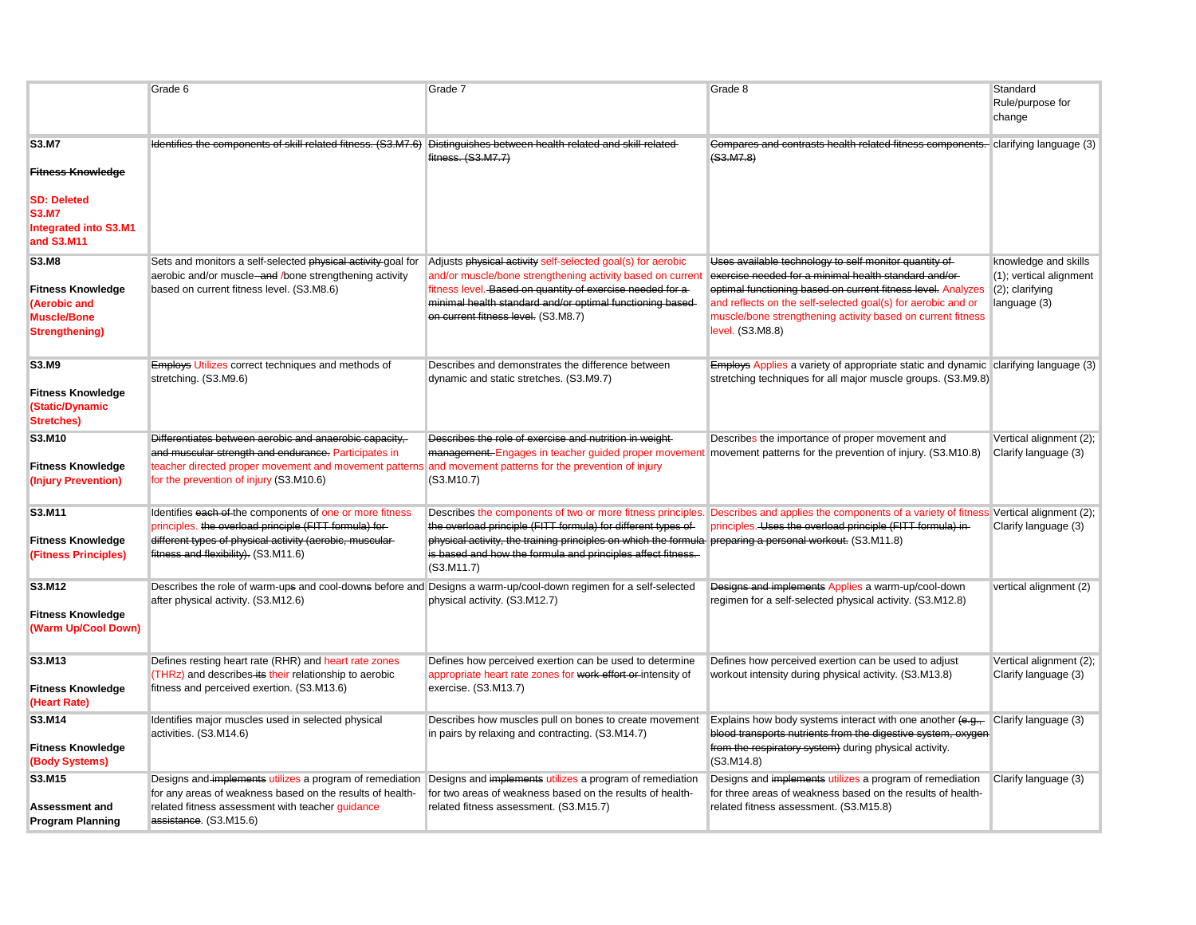|                                                                                                                              | Grade 6                                                                                                                                                                                                                                                                | Grade 7                                                                                                                                                                                                                                                                                    | Grade 8                                                                                                                                                                                                                                                                                                                           | Standard<br>Rule/purpose for<br>change                                                |
|------------------------------------------------------------------------------------------------------------------------------|------------------------------------------------------------------------------------------------------------------------------------------------------------------------------------------------------------------------------------------------------------------------|--------------------------------------------------------------------------------------------------------------------------------------------------------------------------------------------------------------------------------------------------------------------------------------------|-----------------------------------------------------------------------------------------------------------------------------------------------------------------------------------------------------------------------------------------------------------------------------------------------------------------------------------|---------------------------------------------------------------------------------------|
| <b>S3.M7</b><br><b>Fitness Knowledge</b><br><b>SD: Deleted</b><br><b>S3.M7</b><br><b>Integrated into S3.M1</b><br>and S3.M11 | Identifies the components of skill related fitness. (S3.M7.6) Distinguishes between health-related and skill-related                                                                                                                                                   | fitness. (S3.M7.7)                                                                                                                                                                                                                                                                         | Compares and contrasts health related fitness components. clarifying language (3)<br>(S3.M7.8)                                                                                                                                                                                                                                    |                                                                                       |
| <b>S3.M8</b><br><b>Fitness Knowledge</b><br>(Aerobic and<br><b>Muscle/Bone</b><br><b>Strengthening)</b>                      | Sets and monitors a self-selected physical activity goal for<br>aerobic and/or muscle-and /bone strengthening activity<br>based on current fitness level. (S3.M8.6)                                                                                                    | Adjusts physical activity self-selected goal(s) for aerobic<br>and/or muscle/bone strengthening activity based on current<br>fitness level. Based on quantity of exercise needed for a<br>minimal health standard and/or optimal functioning based-<br>on current fitness level. (S3.M8.7) | Uses available technology to self monitor quantity of<br>exercise needed for a minimal health standard and/or-<br>optimal functioning based on current fitness level. Analyzes<br>and reflects on the self-selected goal(s) for aerobic and or<br>muscle/bone strengthening activity based on current fitness<br>level. (S3.M8.8) | knowledge and skills<br>(1); vertical alignment<br>$(2)$ ; clarifying<br>language (3) |
| S3.M9<br><b>Fitness Knowledge</b><br>(Static/Dynamic<br><b>Stretches)</b>                                                    | Employs Utilizes correct techniques and methods of<br>stretching. (S3.M9.6)                                                                                                                                                                                            | Describes and demonstrates the difference between<br>dynamic and static stretches. (S3.M9.7)                                                                                                                                                                                               | <b>Employs Applies a variety of appropriate static and dynamic clarifying language (3)</b><br>stretching techniques for all major muscle groups. (S3.M9.8)                                                                                                                                                                        |                                                                                       |
| S3.M10<br><b>Fitness Knowledge</b><br>(Injury Prevention)                                                                    | Differentiates between aerobic and anaerobic capacity,<br>and muscular strength and endurance. Participates in<br>teacher directed proper movement and movement patterns and movement patterns for the prevention of injury<br>for the prevention of injury (S3.M10.6) | Describes the role of exercise and nutrition in weight-<br>management. Engages in teacher guided proper movement movement patterns for the prevention of injury. (S3.M10.8)<br>(S3.M10.7)                                                                                                  | Describes the importance of proper movement and                                                                                                                                                                                                                                                                                   | Vertical alignment (2);<br>Clarify language (3)                                       |
| S3.M11<br><b>Fitness Knowledge</b><br>(Fitness Principles)                                                                   | Identifies each of the components of one or more fitness<br>principles. the overload principle (FITT formula) for-<br>different types of physical activity (aerobic, muscular-<br>fitness and flexibility). (S3.M11.6)                                                 | the overload principle (FITT formula) for different types of<br>physical activity, the training principles on which the formula preparing a personal workout. (S3.M11.8)<br>is based and how the formula and principles affect fitness.<br>(S3.M11.7)                                      | Describes the components of two or more fitness principles. Describes and applies the components of a variety of fitness Vertical alignment (2);<br>principles. Uses the overload principle (FITT formula) in-                                                                                                                    | Clarify language (3)                                                                  |
| S3.M12<br><b>Fitness Knowledge</b><br>(Warm Up/Cool Down)                                                                    | Describes the role of warm-ups and cool-downs before and Designs a warm-up/cool-down regimen for a self-selected<br>after physical activity. (S3.M12.6)                                                                                                                | physical activity. (S3.M12.7)                                                                                                                                                                                                                                                              | Designs and implements Applies a warm-up/cool-down<br>regimen for a self-selected physical activity. (S3.M12.8)                                                                                                                                                                                                                   | vertical alignment (2)                                                                |
| S3.M13<br><b>Fitness Knowledge</b><br>(Heart Rate)                                                                           | Defines resting heart rate (RHR) and heart rate zones<br>(THRz) and describes its their relationship to aerobic<br>fitness and perceived exertion. (S3.M13.6)                                                                                                          | Defines how perceived exertion can be used to determine<br>appropriate heart rate zones for work effort or intensity of<br>exercise. (S3.M13.7)                                                                                                                                            | Defines how perceived exertion can be used to adjust<br>workout intensity during physical activity. (S3.M13.8)                                                                                                                                                                                                                    | Vertical alignment (2);<br>Clarify language (3)                                       |
| S3.M14<br><b>Fitness Knowledge</b><br>(Body Systems)                                                                         | Identifies major muscles used in selected physical<br>activities. (S3.M14.6)                                                                                                                                                                                           | Describes how muscles pull on bones to create movement<br>in pairs by relaxing and contracting. (S3.M14.7)                                                                                                                                                                                 | Explains how body systems interact with one another $(e.g.,$ Clarify language (3)<br>blood transports nutrients from the digestive system, oxygen<br>from the respiratory system) during physical activity.<br>(S3.M14.8)                                                                                                         |                                                                                       |
| S3.M15<br><b>Assessment and</b><br><b>Program Planning</b>                                                                   | Designs and implements utilizes a program of remediation<br>for any areas of weakness based on the results of health-<br>related fitness assessment with teacher guidance<br>assistance. (S3.M15.6)                                                                    | Designs and implements utilizes a program of remediation<br>for two areas of weakness based on the results of health-<br>related fitness assessment. (S3.M15.7)                                                                                                                            | Designs and implements utilizes a program of remediation<br>for three areas of weakness based on the results of health-<br>related fitness assessment. (S3.M15.8)                                                                                                                                                                 | Clarify language (3)                                                                  |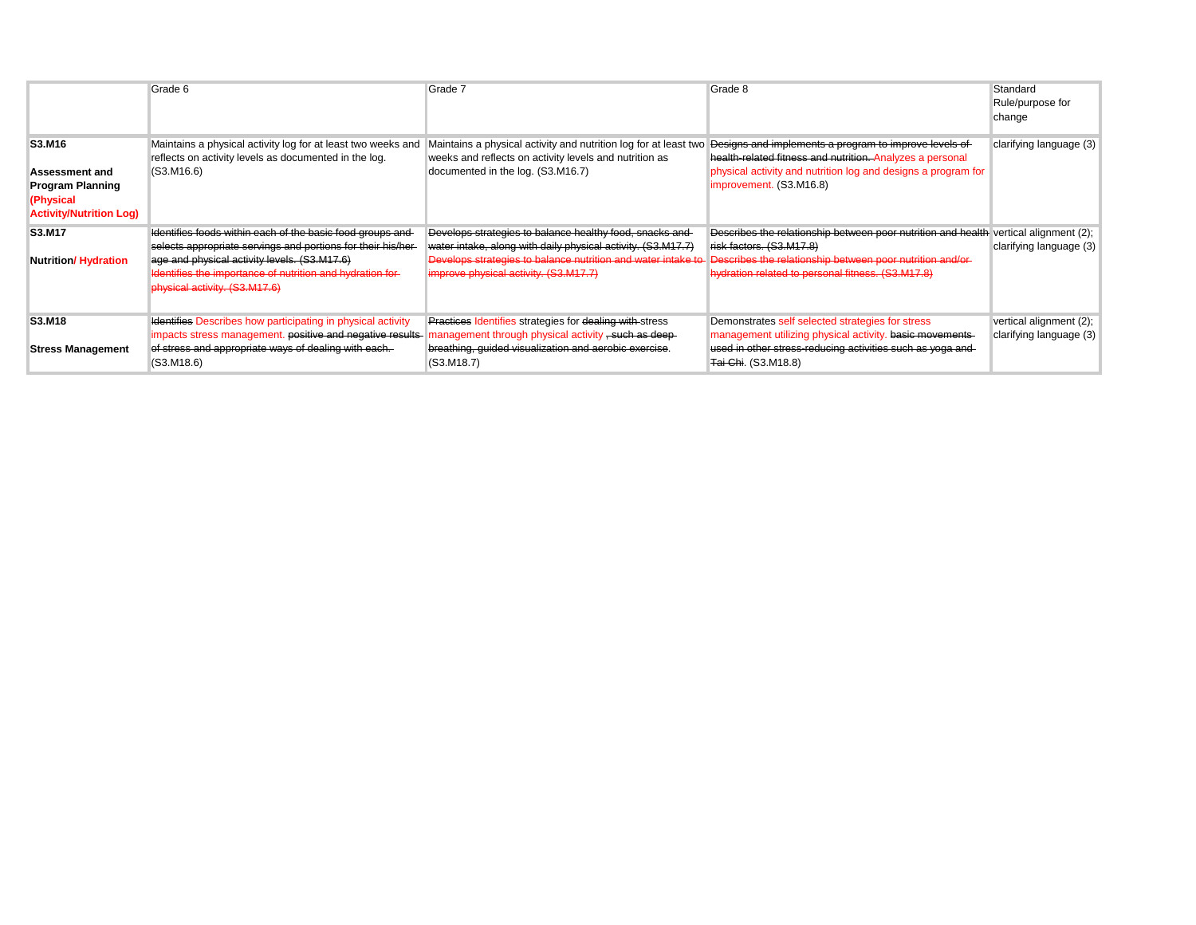|                                                                                                           | Grade 6                                                                                                                                                                                                    | Grade 7                                                                                                                                                               | Grade 8                                                                                                                                                                                                       | Standard<br>Rule/purpose for<br>change |
|-----------------------------------------------------------------------------------------------------------|------------------------------------------------------------------------------------------------------------------------------------------------------------------------------------------------------------|-----------------------------------------------------------------------------------------------------------------------------------------------------------------------|---------------------------------------------------------------------------------------------------------------------------------------------------------------------------------------------------------------|----------------------------------------|
| S3.M16<br><b>Assessment and</b><br><b>Program Planning</b><br>(Physical<br><b>Activity/Nutrition Log)</b> | Maintains a physical activity log for at least two weeks and<br>reflects on activity levels as documented in the log.<br>(S3.M16.6)                                                                        | Maintains a physical activity and nutrition log for at least two<br>weeks and reflects on activity levels and nutrition as<br>documented in the log. (S3.M16.7)       | Designs and implements a program to improve levels of<br>health-related fitness and nutrition-Analyzes a personal<br>physical activity and nutrition log and designs a program for<br>improvement. (S3.M16.8) | clarifying language (3)                |
| S3.M17                                                                                                    | Identifies foods within each of the basic food groups and-                                                                                                                                                 | Develops strategies to balance healthy food, snacks and                                                                                                               | Describes the relationship between poor nutrition and health vertical alignment (2);                                                                                                                          |                                        |
| <b>Nutrition/Hydration</b>                                                                                | selects appropriate servings and portions for their his/her-<br>age and physical activity levels. (S3.M17.6)<br>Identifies the importance of nutrition and hydration for-<br>physical activity. (S3.M17.6) | water intake, along with daily physical activity. (S3.M17.7)<br>Develops strategies to balance nutrition and water intake to<br>improve physical activity. (S3.M17.7) | risk factors. (S3.M17.8)<br>Describes the relationship between poor nutrition and/or-<br>hydration related to personal fitness. (S3.M17.8)                                                                    | clarifying language (3)                |
| S3.M18                                                                                                    | <b>Identifies Describes how participating in physical activity</b>                                                                                                                                         | <b>Practices Identifies strategies for dealing with stress</b>                                                                                                        | Demonstrates self selected strategies for stress                                                                                                                                                              | vertical alignment (2);                |
| <b>Stress Management</b>                                                                                  | impacts stress management, positive and negative results-<br>of stress and appropriate ways of dealing with each.<br>(S3.M18.6)                                                                            | anagement through physical activity - such as deep-<br>breathing, guided visualization and aerobic exercise.<br>(S3.M18.7)                                            | management utilizing physical activity. basic movements-<br>used in other stress-reducing activities such as yoga and<br><b>Tai Chi.</b> (S3.M18.8)                                                           | clarifying language (3)                |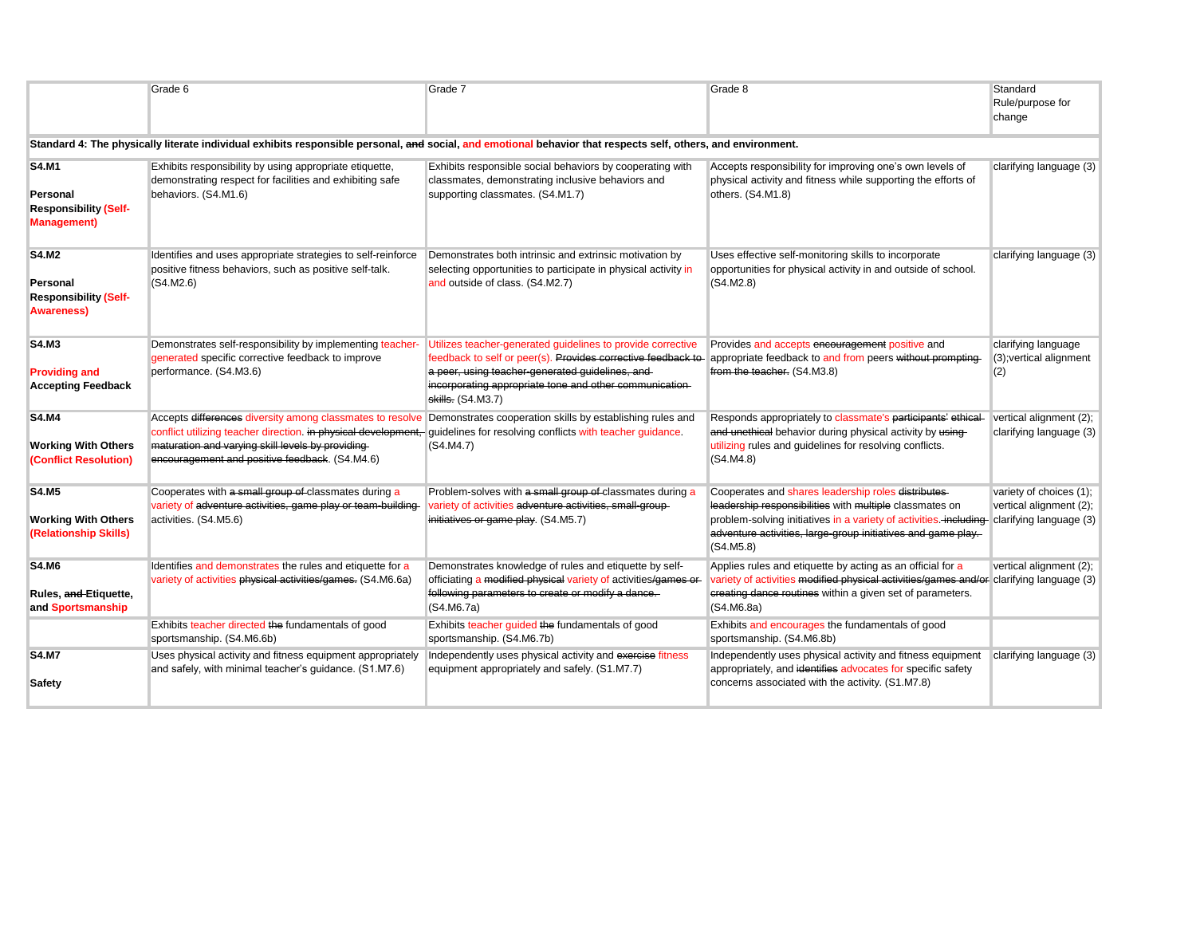|                                                                                 | Grade 6                                                                                                                                                                                                                                                                                                                                                | Grade 7                                                                                                                                                                                                                                                          | Grade 8                                                                                                                                                                                                                                                                                  | Standard<br>Rule/purpose for<br>change                |
|---------------------------------------------------------------------------------|--------------------------------------------------------------------------------------------------------------------------------------------------------------------------------------------------------------------------------------------------------------------------------------------------------------------------------------------------------|------------------------------------------------------------------------------------------------------------------------------------------------------------------------------------------------------------------------------------------------------------------|------------------------------------------------------------------------------------------------------------------------------------------------------------------------------------------------------------------------------------------------------------------------------------------|-------------------------------------------------------|
|                                                                                 |                                                                                                                                                                                                                                                                                                                                                        | Standard 4: The physically literate individual exhibits responsible personal, and social, and emotional behavior that respects self, others, and environment.                                                                                                    |                                                                                                                                                                                                                                                                                          |                                                       |
| <b>S4.M1</b><br>Personal<br><b>Responsibility (Self-</b><br><b>Management</b> ) | Exhibits responsibility by using appropriate etiquette,<br>demonstrating respect for facilities and exhibiting safe<br>behaviors. (S4.M1.6)                                                                                                                                                                                                            | Exhibits responsible social behaviors by cooperating with<br>classmates, demonstrating inclusive behaviors and<br>supporting classmates. (S4.M1.7)                                                                                                               | Accepts responsibility for improving one's own levels of<br>physical activity and fitness while supporting the efforts of<br>others. (S4.M1.8)                                                                                                                                           | clarifying language (3)                               |
| <b>S4.M2</b><br>Personal<br><b>Responsibility (Self-</b><br><b>Awareness</b> )  | Identifies and uses appropriate strategies to self-reinforce<br>positive fitness behaviors, such as positive self-talk.<br>(S4.M2.6)                                                                                                                                                                                                                   | Demonstrates both intrinsic and extrinsic motivation by<br>selecting opportunities to participate in physical activity in<br>and outside of class. (S4.M2.7)                                                                                                     | Uses effective self-monitoring skills to incorporate<br>opportunities for physical activity in and outside of school.<br>(S4.M2.8)                                                                                                                                                       | clarifying language (3)                               |
| <b>S4.M3</b><br><b>Providing and</b><br><b>Accepting Feedback</b>               | Demonstrates self-responsibility by implementing teacher-<br>generated specific corrective feedback to improve<br>performance. (S4.M3.6)                                                                                                                                                                                                               | Utilizes teacher-generated guidelines to provide corrective<br>feedback to self or peer(s). Provides corrective feedback to-<br>a peer, using teacher-generated guidelines, and-<br>incorporating appropriate tone and other communication-<br>skills. (S4.M3.7) | Provides and accepts encouragement positive and<br>appropriate feedback to and from peers without prompting-<br>from the teacher. (S4.M3.8)                                                                                                                                              | clarifying language<br>(3); vertical alignment<br>(2) |
| <b>S4.M4</b><br><b>Working With Others</b><br>(Conflict Resolution)             | Accepts differences diversity among classmates to resolve Demonstrates cooperation skills by establishing rules and<br>conflict utilizing teacher direction. in physical development, quidelines for resolving conflicts with teacher guidance.<br>maturation and varying skill levels by providing-<br>encouragement and positive feedback. (S4.M4.6) | (S4.M4.7)                                                                                                                                                                                                                                                        | Responds appropriately to classmate's participants' ethical-<br>and unethical behavior during physical activity by using-<br>utilizing rules and guidelines for resolving conflicts.<br>(S4.M4.8)                                                                                        | vertical alignment (2);<br>clarifying language (3)    |
| <b>S4.M5</b><br><b>Working With Others</b><br>(Relationship Skills)             | Cooperates with a small group of classmates during a<br>variety of adventure activities, game play or team-building-<br>activities. (S4.M5.6)                                                                                                                                                                                                          | Problem-solves with a small group of classmates during a<br>variety of activities adventure activities, small-group-<br>initiatives or game play. (S4.M5.7)                                                                                                      | Cooperates and shares leadership roles distributes-<br>leadership responsibilities with multiple classmates on<br>problem-solving initiatives in a variety of activities. including clarifying language (3)<br>adventure activities, large-group initiatives and game play.<br>(S4.M5.8) | variety of choices (1);<br>vertical alignment (2);    |
| <b>S4.M6</b><br>Rules, and Etiquette,<br>and Sportsmanship                      | Identifies and demonstrates the rules and etiquette for a<br>variety of activities physical activities/games. (S4.M6.6a)                                                                                                                                                                                                                               | Demonstrates knowledge of rules and etiquette by self-<br>officiating a modified physical variety of activities/games or-<br>following parameters to create or modify a dance.<br>(S4.M6.7a)                                                                     | Applies rules and etiquette by acting as an official for a<br>variety of activities modified physical activities/games and/or clarifying language (3)<br>creating dance routines within a given set of parameters.<br>(S4.M6.8a)                                                         | vertical alignment (2);                               |
|                                                                                 | Exhibits teacher directed the fundamentals of good<br>sportsmanship. (S4.M6.6b)                                                                                                                                                                                                                                                                        | Exhibits teacher quided the fundamentals of good<br>sportsmanship. (S4.M6.7b)                                                                                                                                                                                    | Exhibits and encourages the fundamentals of good<br>sportsmanship. (S4.M6.8b)                                                                                                                                                                                                            |                                                       |
| <b>S4.M7</b><br><b>Safety</b>                                                   | Uses physical activity and fitness equipment appropriately<br>and safely, with minimal teacher's quidance. (S1.M7.6)                                                                                                                                                                                                                                   | Independently uses physical activity and exercise fitness<br>equipment appropriately and safely. (S1.M7.7)                                                                                                                                                       | Independently uses physical activity and fitness equipment<br>appropriately, and identifies advocates for specific safety<br>concerns associated with the activity. (S1.M7.8)                                                                                                            | clarifying language (3)                               |